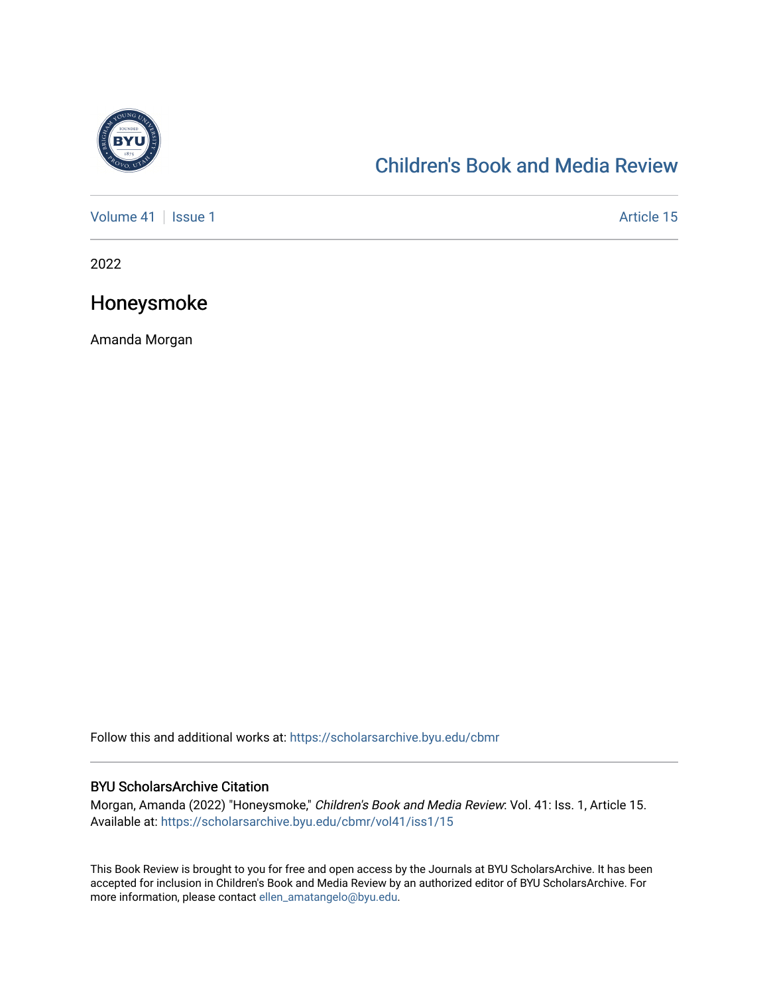

## [Children's Book and Media Review](https://scholarsarchive.byu.edu/cbmr)

[Volume 41](https://scholarsarchive.byu.edu/cbmr/vol41) | [Issue 1](https://scholarsarchive.byu.edu/cbmr/vol41/iss1) Article 15

2022

## Honeysmoke

Amanda Morgan

Follow this and additional works at: [https://scholarsarchive.byu.edu/cbmr](https://scholarsarchive.byu.edu/cbmr?utm_source=scholarsarchive.byu.edu%2Fcbmr%2Fvol41%2Fiss1%2F15&utm_medium=PDF&utm_campaign=PDFCoverPages) 

## BYU ScholarsArchive Citation

Morgan, Amanda (2022) "Honeysmoke," Children's Book and Media Review: Vol. 41: Iss. 1, Article 15. Available at: [https://scholarsarchive.byu.edu/cbmr/vol41/iss1/15](https://scholarsarchive.byu.edu/cbmr/vol41/iss1/15?utm_source=scholarsarchive.byu.edu%2Fcbmr%2Fvol41%2Fiss1%2F15&utm_medium=PDF&utm_campaign=PDFCoverPages)

This Book Review is brought to you for free and open access by the Journals at BYU ScholarsArchive. It has been accepted for inclusion in Children's Book and Media Review by an authorized editor of BYU ScholarsArchive. For more information, please contact [ellen\\_amatangelo@byu.edu.](mailto:ellen_amatangelo@byu.edu)